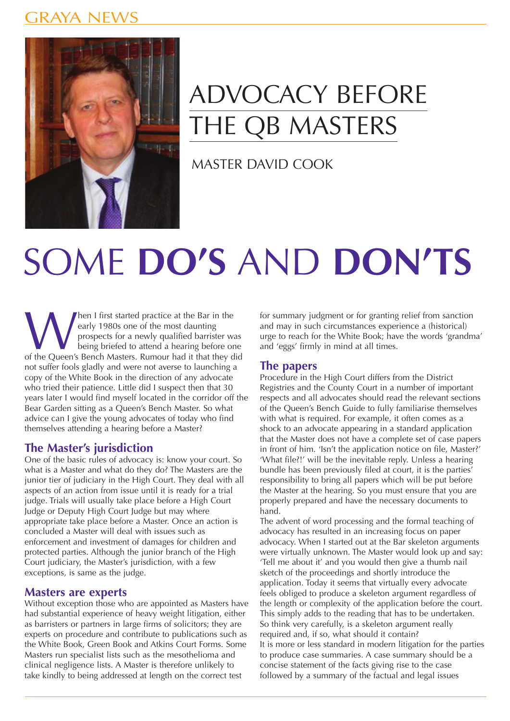### jraya new



## ADVOCACY BEFORE **HE QB MASTERS**

MASTER DAVID COOK

# SOME **DO'S** AND **DON'TS**

Men I first started practice at the Bar in the<br>
early 1980s one of the most daunting<br>
prospects for a newly qualified barrister was<br>
being briefed to attend a hearing before one<br>
of the Queen's Bench Masters. Rumour had it early 1980s one of the most daunting prospects for a newly qualified barrister was being briefed to attend a hearing before one not suffer fools gladly and were not averse to launching a copy of the White Book in the direction of any advocate who tried their patience. Little did I suspect then that 30 years later I would find myself located in the corridor off the Bear Garden sitting as a Queen's Bench Master. So what advice can I give the young advocates of today who find themselves attending a hearing before a Master?

#### **The Master's jurisdiction**

One of the basic rules of advocacy is: know your court. So what is a Master and what do they do? The Masters are the junior tier of judiciary in the High Court. They deal with all aspects of an action from issue until it is ready for a trial judge. Trials will usually take place before a High Court Judge or Deputy High Court Judge but may where appropriate take place before a Master. Once an action is concluded a Master will deal with issues such as enforcement and investment of damages for children and protected parties. Although the junior branch of the High Court judiciary, the Master's jurisdiction, with a few exceptions, is same as the judge.

#### **Masters are experts**

Without exception those who are appointed as Masters have had substantial experience of heavy weight litigation, either as barristers or partners in large firms of solicitors; they are experts on procedure and contribute to publications such as the White Book, Green Book and Atkins Court Forms. Some Masters run specialist lists such as the mesothelioma and clinical negligence lists. A Master is therefore unlikely to take kindly to being addressed at length on the correct test

for summary judgment or for granting relief from sanction and may in such circumstances experience a (historical) urge to reach for the White Book; have the words 'grandma' and 'eggs' firmly in mind at all times.

#### **The papers**

Procedure in the High Court differs from the District Registries and the County Court in a number of important respects and all advocates should read the relevant sections of the Queen's Bench Guide to fully familiarise themselves with what is required. For example, it often comes as a shock to an advocate appearing in a standard application that the Master does not have a complete set of case papers in front of him. 'Isn't the application notice on file, Master?' 'What file?!' will be the inevitable reply. Unless a hearing bundle has been previously filed at court, it is the parties' responsibility to bring all papers which will be put before the Master at the hearing. So you must ensure that you are properly prepared and have the necessary documents to hand.

The advent of word processing and the formal teaching of advocacy has resulted in an increasing focus on paper advocacy. When I started out at the Bar skeleton arguments were virtually unknown. The Master would look up and say: 'Tell me about it' and you would then give a thumb nail sketch of the proceedings and shortly introduce the application. Today it seems that virtually every advocate feels obliged to produce a skeleton argument regardless of the length or complexity of the application before the court. This simply adds to the reading that has to be undertaken. So think very carefully, is a skeleton argument really required and, if so, what should it contain? It is more or less standard in modern litigation for the parties to produce case summaries. A case summary should be a concise statement of the facts giving rise to the case followed by a summary of the factual and legal issues